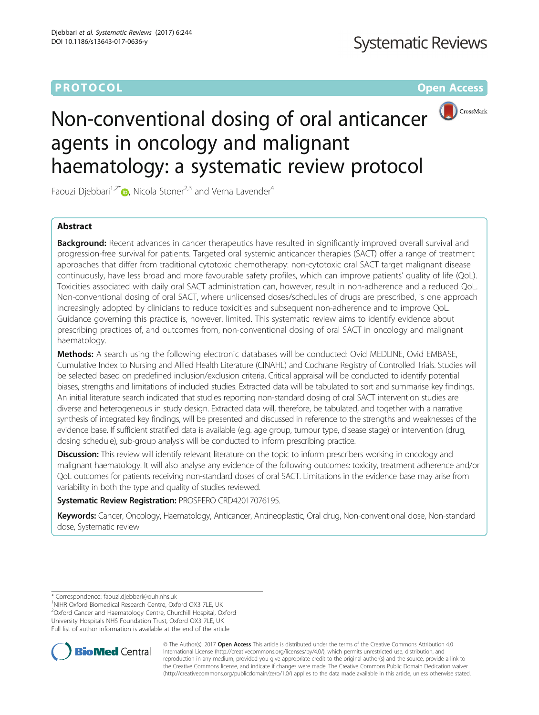## **PROTOCOL CONSUMING THE OPEN ACCESS**



# Non-conventional dosing of oral anticancer agents in oncology and malignant haematology: a systematic review protocol

Faouzi Djebbari<sup>1,2\*</sup>  $\bullet$ , Nicola Stoner<sup>2,3</sup> and Verna Lavender<sup>4</sup>

## Abstract

**Background:** Recent advances in cancer therapeutics have resulted in significantly improved overall survival and progression-free survival for patients. Targeted oral systemic anticancer therapies (SACT) offer a range of treatment approaches that differ from traditional cytotoxic chemotherapy: non-cytotoxic oral SACT target malignant disease continuously, have less broad and more favourable safety profiles, which can improve patients' quality of life (QoL). Toxicities associated with daily oral SACT administration can, however, result in non-adherence and a reduced QoL. Non-conventional dosing of oral SACT, where unlicensed doses/schedules of drugs are prescribed, is one approach increasingly adopted by clinicians to reduce toxicities and subsequent non-adherence and to improve QoL. Guidance governing this practice is, however, limited. This systematic review aims to identify evidence about prescribing practices of, and outcomes from, non-conventional dosing of oral SACT in oncology and malignant haematology.

Methods: A search using the following electronic databases will be conducted: Ovid MEDLINE, Ovid EMBASE, Cumulative Index to Nursing and Allied Health Literature (CINAHL) and Cochrane Registry of Controlled Trials. Studies will be selected based on predefined inclusion/exclusion criteria. Critical appraisal will be conducted to identify potential biases, strengths and limitations of included studies. Extracted data will be tabulated to sort and summarise key findings. An initial literature search indicated that studies reporting non-standard dosing of oral SACT intervention studies are diverse and heterogeneous in study design. Extracted data will, therefore, be tabulated, and together with a narrative synthesis of integrated key findings, will be presented and discussed in reference to the strengths and weaknesses of the evidence base. If sufficient stratified data is available (e.g. age group, tumour type, disease stage) or intervention (drug, dosing schedule), sub-group analysis will be conducted to inform prescribing practice.

Discussion: This review will identify relevant literature on the topic to inform prescribers working in oncology and malignant haematology. It will also analyse any evidence of the following outcomes: toxicity, treatment adherence and/or QoL outcomes for patients receiving non-standard doses of oral SACT. Limitations in the evidence base may arise from variability in both the type and quality of studies reviewed.

Systematic Review Registration: PROSPERO [CRD42017076195](https://www.crd.york.ac.uk/prospero/display_record.php?RecordID=76195).

Keywords: Cancer, Oncology, Haematology, Anticancer, Antineoplastic, Oral drug, Non-conventional dose, Non-standard dose, Systematic review

\* Correspondence: [faouzi.djebbari@ouh.nhs.uk](mailto:faouzi.djebbari@ouh.nhs.uk) <sup>1</sup>

<sup>1</sup>NIHR Oxford Biomedical Research Centre, Oxford OX3 7LE, UK <sup>2</sup>Oxford Cancer and Haematology Centre, Churchill Hospital, Oxford University Hospitals NHS Foundation Trust, Oxford OX3 7LE, UK Full list of author information is available at the end of the article



© The Author(s). 2017 **Open Access** This article is distributed under the terms of the Creative Commons Attribution 4.0 International License [\(http://creativecommons.org/licenses/by/4.0/](http://creativecommons.org/licenses/by/4.0/)), which permits unrestricted use, distribution, and reproduction in any medium, provided you give appropriate credit to the original author(s) and the source, provide a link to the Creative Commons license, and indicate if changes were made. The Creative Commons Public Domain Dedication waiver [\(http://creativecommons.org/publicdomain/zero/1.0/](http://creativecommons.org/publicdomain/zero/1.0/)) applies to the data made available in this article, unless otherwise stated.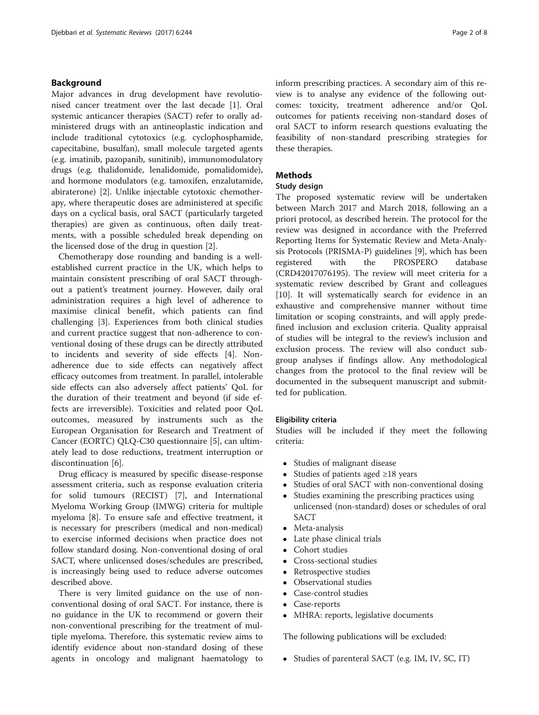## Background

Major advances in drug development have revolutionised cancer treatment over the last decade [[1\]](#page-7-0). Oral systemic anticancer therapies (SACT) refer to orally administered drugs with an antineoplastic indication and include traditional cytotoxics (e.g. cyclophosphamide, capecitabine, busulfan), small molecule targeted agents (e.g. imatinib, pazopanib, sunitinib), immunomodulatory drugs (e.g. thalidomide, lenalidomide, pomalidomide), and hormone modulators (e.g. tamoxifen, enzalutamide, abiraterone) [\[2](#page-7-0)]. Unlike injectable cytotoxic chemotherapy, where therapeutic doses are administered at specific days on a cyclical basis, oral SACT (particularly targeted therapies) are given as continuous, often daily treatments, with a possible scheduled break depending on the licensed dose of the drug in question [\[2](#page-7-0)].

Chemotherapy dose rounding and banding is a wellestablished current practice in the UK, which helps to maintain consistent prescribing of oral SACT throughout a patient's treatment journey. However, daily oral administration requires a high level of adherence to maximise clinical benefit, which patients can find challenging [\[3](#page-7-0)]. Experiences from both clinical studies and current practice suggest that non-adherence to conventional dosing of these drugs can be directly attributed to incidents and severity of side effects [[4](#page-7-0)]. Nonadherence due to side effects can negatively affect efficacy outcomes from treatment. In parallel, intolerable side effects can also adversely affect patients' QoL for the duration of their treatment and beyond (if side effects are irreversible). Toxicities and related poor QoL outcomes, measured by instruments such as the European Organisation for Research and Treatment of Cancer (EORTC) QLQ-C30 questionnaire [\[5\]](#page-7-0), can ultimately lead to dose reductions, treatment interruption or discontinuation [\[6](#page-7-0)].

Drug efficacy is measured by specific disease-response assessment criteria, such as response evaluation criteria for solid tumours (RECIST) [\[7](#page-7-0)], and International Myeloma Working Group (IMWG) criteria for multiple myeloma [\[8](#page-7-0)]. To ensure safe and effective treatment, it is necessary for prescribers (medical and non-medical) to exercise informed decisions when practice does not follow standard dosing. Non-conventional dosing of oral SACT, where unlicensed doses/schedules are prescribed, is increasingly being used to reduce adverse outcomes described above.

There is very limited guidance on the use of nonconventional dosing of oral SACT. For instance, there is no guidance in the UK to recommend or govern their non-conventional prescribing for the treatment of multiple myeloma. Therefore, this systematic review aims to identify evidence about non-standard dosing of these agents in oncology and malignant haematology to inform prescribing practices. A secondary aim of this review is to analyse any evidence of the following outcomes: toxicity, treatment adherence and/or QoL outcomes for patients receiving non-standard doses of oral SACT to inform research questions evaluating the feasibility of non-standard prescribing strategies for these therapies.

## **Methods**

## Study design

The proposed systematic review will be undertaken between March 2017 and March 2018, following an a priori protocol, as described herein. The protocol for the review was designed in accordance with the Preferred Reporting Items for Systematic Review and Meta-Analysis Protocols (PRISMA-P) guidelines [[9](#page-7-0)], which has been registered with the PROSPERO database (CRD42017076195). The review will meet criteria for a systematic review described by Grant and colleagues [[10\]](#page-7-0). It will systematically search for evidence in an exhaustive and comprehensive manner without time limitation or scoping constraints, and will apply predefined inclusion and exclusion criteria. Quality appraisal of studies will be integral to the review's inclusion and exclusion process. The review will also conduct subgroup analyses if findings allow. Any methodological changes from the protocol to the final review will be documented in the subsequent manuscript and submitted for publication.

## Eligibility criteria

Studies will be included if they meet the following criteria:

- Studies of malignant disease
- Studies of patients aged ≥18 years
- Studies of oral SACT with non-conventional dosing
- Studies examining the prescribing practices using unlicensed (non-standard) doses or schedules of oral SACT
- Meta-analysis
- Late phase clinical trials<br>• Cobort studies
- Cohort studies
- Cross-sectional studies
- Retrospective studies
- Observational studies<br>• Case-control studies
- Case-control studies<br>• Case-reports
- Case-reports
- MHRA: reports, legislative documents

The following publications will be excluded:

• Studies of parenteral SACT (e.g. IM, IV, SC, IT)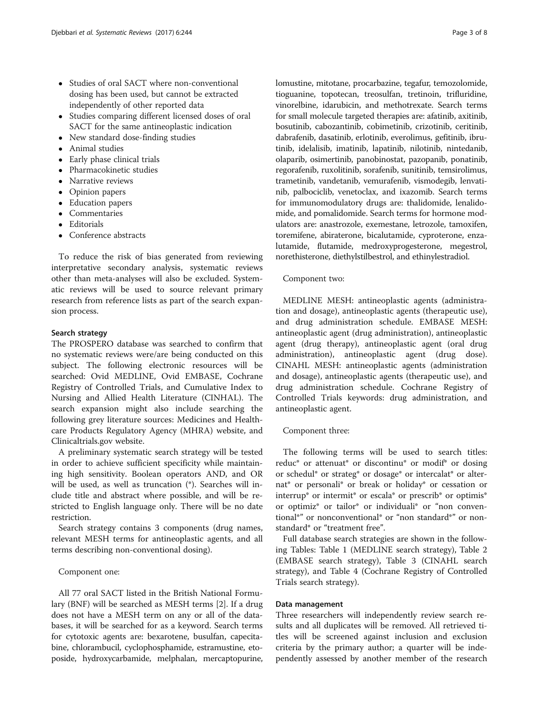- Studies of oral SACT where non-conventional dosing has been used, but cannot be extracted independently of other reported data
- Studies comparing different licensed doses of oral SACT for the same antineoplastic indication
- New standard dose-finding studies
- Animal studies
- Early phase clinical trials
- Pharmacokinetic studies
- Narrative reviews
- Opinion papers
- Education papers
- Commentaries
- **Editorials**
- Conference abstracts

To reduce the risk of bias generated from reviewing interpretative secondary analysis, systematic reviews other than meta-analyses will also be excluded. Systematic reviews will be used to source relevant primary research from reference lists as part of the search expansion process.

## Search strategy

The PROSPERO database was searched to confirm that no systematic reviews were/are being conducted on this subject. The following electronic resources will be searched: Ovid MEDLINE, Ovid EMBASE, Cochrane Registry of Controlled Trials, and Cumulative Index to Nursing and Allied Health Literature (CINHAL). The search expansion might also include searching the following grey literature sources: Medicines and Healthcare Products Regulatory Agency (MHRA) website, and [Clinicaltrials.gov](http://clinicaltrials.gov) website.

A preliminary systematic search strategy will be tested in order to achieve sufficient specificity while maintaining high sensitivity. Boolean operators AND, and OR will be used, as well as truncation (\*). Searches will include title and abstract where possible, and will be restricted to English language only. There will be no date restriction.

Search strategy contains 3 components (drug names, relevant MESH terms for antineoplastic agents, and all terms describing non-conventional dosing).

## Component one:

All 77 oral SACT listed in the British National Formulary (BNF) will be searched as MESH terms [[2\]](#page-7-0). If a drug does not have a MESH term on any or all of the databases, it will be searched for as a keyword. Search terms for cytotoxic agents are: bexarotene, busulfan, capecitabine, chlorambucil, cyclophosphamide, estramustine, etoposide, hydroxycarbamide, melphalan, mercaptopurine, lomustine, mitotane, procarbazine, tegafur, temozolomide, tioguanine, topotecan, treosulfan, tretinoin, trifluridine, vinorelbine, idarubicin, and methotrexate. Search terms for small molecule targeted therapies are: afatinib, axitinib, bosutinib, cabozantinib, cobimetinib, crizotinib, ceritinib, dabrafenib, dasatinib, erlotinib, everolimus, gefitinib, ibrutinib, idelalisib, imatinib, lapatinib, nilotinib, nintedanib, olaparib, osimertinib, panobinostat, pazopanib, ponatinib, regorafenib, ruxolitinib, sorafenib, sunitinib, temsirolimus, trametinib, vandetanib, vemurafenib, vismodegib, lenvatinib, palbociclib, venetoclax, and ixazomib. Search terms for immunomodulatory drugs are: thalidomide, lenalidomide, and pomalidomide. Search terms for hormone modulators are: anastrozole, exemestane, letrozole, tamoxifen, toremifene, abiraterone, bicalutamide, cyproterone, enzalutamide, flutamide, medroxyprogesterone, megestrol, norethisterone, diethylstilbestrol, and ethinylestradiol.

#### Component two:

MEDLINE MESH: antineoplastic agents (administration and dosage), antineoplastic agents (therapeutic use), and drug administration schedule. EMBASE MESH: antineoplastic agent (drug administration), antineoplastic agent (drug therapy), antineoplastic agent (oral drug administration), antineoplastic agent (drug dose). CINAHL MESH: antineoplastic agents (administration and dosage), antineoplastic agents (therapeutic use), and drug administration schedule. Cochrane Registry of Controlled Trials keywords: drug administration, and antineoplastic agent.

## Component three:

The following terms will be used to search titles: reduc\* or attenuat\* or discontinu\* or modif\* or dosing or schedul\* or strateg\* or dosage\* or intercalat\* or alternat\* or personali\* or break or holiday\* or cessation or interrup\* or intermit\* or escala\* or prescrib\* or optimis\* or optimiz\* or tailor\* or individuali\* or "non conventional\*" or nonconventional\* or "non standard\*" or nonstandard\* or "treatment free".

Full database search strategies are shown in the following Tables: Table [1](#page-3-0) (MEDLINE search strategy), Table [2](#page-4-0) (EMBASE search strategy), Table [3](#page-5-0) (CINAHL search strategy), and Table [4](#page-5-0) (Cochrane Registry of Controlled Trials search strategy).

#### Data management

Three researchers will independently review search results and all duplicates will be removed. All retrieved titles will be screened against inclusion and exclusion criteria by the primary author; a quarter will be independently assessed by another member of the research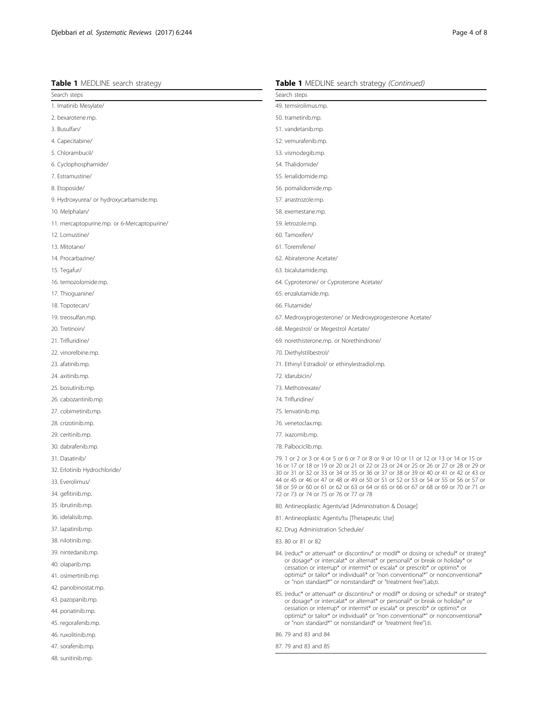## <span id="page-3-0"></span>Table 1 MEDLINE search strategy

|                                             | Search steps                                                                                                                                                                                                                                                      |  |
|---------------------------------------------|-------------------------------------------------------------------------------------------------------------------------------------------------------------------------------------------------------------------------------------------------------------------|--|
| Search steps                                |                                                                                                                                                                                                                                                                   |  |
| 1. Imatinib Mesylate/                       | 49. temsirolimus.mp.                                                                                                                                                                                                                                              |  |
| 2. bexarotene.mp.                           | 50. trametinib.mp.                                                                                                                                                                                                                                                |  |
| 3. Busulfan/                                | 51. vandetanib.mp.                                                                                                                                                                                                                                                |  |
| 4. Capecitabine/                            | 52. vemurafenib.mp.                                                                                                                                                                                                                                               |  |
| 5. Chlorambucil/                            | 53. vismodegib.mp.                                                                                                                                                                                                                                                |  |
| 6. Cyclophosphamide/                        | 54. Thalidomide/                                                                                                                                                                                                                                                  |  |
| 7. Estramustine/                            | 55. lenalidomide.mp.                                                                                                                                                                                                                                              |  |
| 8. Etoposide/                               | 56. pomalidomide.mp.                                                                                                                                                                                                                                              |  |
| 9. Hydroxyurea/ or hydroxycarbamide.mp.     | 57. anastrozole.mp.                                                                                                                                                                                                                                               |  |
| 10. Melphalan/                              | 58. exemestane.mp.                                                                                                                                                                                                                                                |  |
| 11. mercaptopurine.mp. or 6-Mercaptopurine/ | 59. letrozole.mp.                                                                                                                                                                                                                                                 |  |
| 12. Lomustine/                              | 60. Tamoxifen/                                                                                                                                                                                                                                                    |  |
| 13. Mitotane/                               | 61. Toremifene/                                                                                                                                                                                                                                                   |  |
| 14. Procarbazine/                           | 62. Abiraterone Acetate/                                                                                                                                                                                                                                          |  |
| 15. Tegafur/                                | 63. bicalutamide.mp.                                                                                                                                                                                                                                              |  |
| 16. temozolomide.mp.                        | 64. Cyproterone/ or Cyproterone Acetate/                                                                                                                                                                                                                          |  |
| 17. Thioguanine/                            | 65. enzalutamide.mp.                                                                                                                                                                                                                                              |  |
| 18. Topotecan/                              | 66. Flutamide/                                                                                                                                                                                                                                                    |  |
| 19. treosulfan.mp.                          | 67. Medroxyprogesterone/ or Medroxyprogesterone Acetate/                                                                                                                                                                                                          |  |
| 20. Tretinoin/                              | 68. Megestrol/ or Megestrol Acetate/                                                                                                                                                                                                                              |  |
| 21. Trifluridine/                           | 69. norethisterone.mp. or Norethindrone/                                                                                                                                                                                                                          |  |
| 22. vinorelbine.mp.                         | 70. Diethylstilbestrol/                                                                                                                                                                                                                                           |  |
| 23. afatinib.mp.                            | 71. Ethinyl Estradiol/ or ethinylestradiol.mp.                                                                                                                                                                                                                    |  |
| 24. axitinib.mp.                            | 72. Idarubicin/                                                                                                                                                                                                                                                   |  |
| 25. bosutinib.mp.                           | 73. Methotrexate/                                                                                                                                                                                                                                                 |  |
| 26. cabozantinib.mp.                        | 74. Trifluridine/                                                                                                                                                                                                                                                 |  |
| 27. cobimetinib.mp.                         | 75. lenvatinib.mp.                                                                                                                                                                                                                                                |  |
| 28. crizotinib.mp.                          | 76. venetoclax.mp.                                                                                                                                                                                                                                                |  |
| 29. ceritinib.mp.                           | 77. ixazomib.mp.                                                                                                                                                                                                                                                  |  |
| 30. dabrafenib.mp.                          | 78. Palbociclib.mp.                                                                                                                                                                                                                                               |  |
| 31. Dasatinib/                              | 79. 1 or 2 or 3 or 4 or 5 or 6 or 7 or 8 or 9 or 10 or 11 or 12 or 13 or 14 or 15 or                                                                                                                                                                              |  |
| 32. Erlotinib Hydrochloride/                | 16 or 17 or 18 or 19 or 20 or 21 or 22 or 23 or 24 or 25 or 26 or 27 or 28 or 29 or<br>30 or 31 or 32 or 33 or 34 or 35 or 36 or 37 or 38 or 39 or 40 or 41 or 42 or 43 or<br>44 or 45 or 46 or 47 or 48 or 49 or 50 or 51 or 52 or 53 or 54 or 55 or 56 or 57 or |  |
| 33. Everolimus/                             |                                                                                                                                                                                                                                                                   |  |
| 34. gefitinib.mp.                           | 58 or 59 or 60 or 61 or 62 or 63 or 64 or 65 or 66 or 67 or 68 or 69 or 70 or 71 or<br>72 or 73 or 74 or 75 or 76 or 77 or 78                                                                                                                                     |  |
| 35. ibrutinib.mp.                           |                                                                                                                                                                                                                                                                   |  |
| 36. idelalisib.mp.                          | 80. Antineoplastic Agents/ad [Administration & Dosage]                                                                                                                                                                                                            |  |
| 37. lapatinib.mp.                           | 81. Antineoplastic Agents/tu [Therapeutic Use]                                                                                                                                                                                                                    |  |
|                                             | 82. Drug Administration Schedule/                                                                                                                                                                                                                                 |  |
| 38. nilotinib.mp.                           | 83.80 or 81 or 82                                                                                                                                                                                                                                                 |  |
| 39. nintedanib.mp.                          | 84. (reduc* or attenuat* or discontinu* or modif* or dosing or schedul* or strateg*<br>or dosage* or intercalat* or alternat* or personali* or break or holiday* or                                                                                               |  |
| 40. olaparib.mp.                            | cessation or interrup* or intermit* or escala* or prescrib* or optimis* or                                                                                                                                                                                        |  |
| 41. osimertinib.mp.                         | optimiz* or tailor* or individuali* or "non conventional*" or nonconventional*<br>or "non standard*" or nonstandard* or "treatment free").ab.ti.                                                                                                                  |  |
| 42. panobinostat.mp.                        | 85. (reduc* or attenuat* or discontinu* or modif* or dosing or schedul* or strateg*                                                                                                                                                                               |  |
| 43. pazopanib.mp.                           | or dosage* or intercalat* or alternat* or personali* or break or holiday* or<br>cessation or interrup* or intermit* or escala* or prescrib* or optimis* or                                                                                                        |  |
| 44. ponatinib.mp.                           | optimiz* or tailor* or individuali* or "non conventional*" or nonconventional*                                                                                                                                                                                    |  |
| 45. regorafenib.mp.                         | or "non standard*" or nonstandard* or "treatment free").ti.                                                                                                                                                                                                       |  |
| 46. ruxolitinib.mp.                         | 86, 79 and 83 and 84                                                                                                                                                                                                                                              |  |
| 47. sorafenib.mp.                           | 87.79 and 83 and 85                                                                                                                                                                                                                                               |  |
| 48. sunitinib.mp.                           |                                                                                                                                                                                                                                                                   |  |

#### Table 1 MEDLINE search strategy (Continued)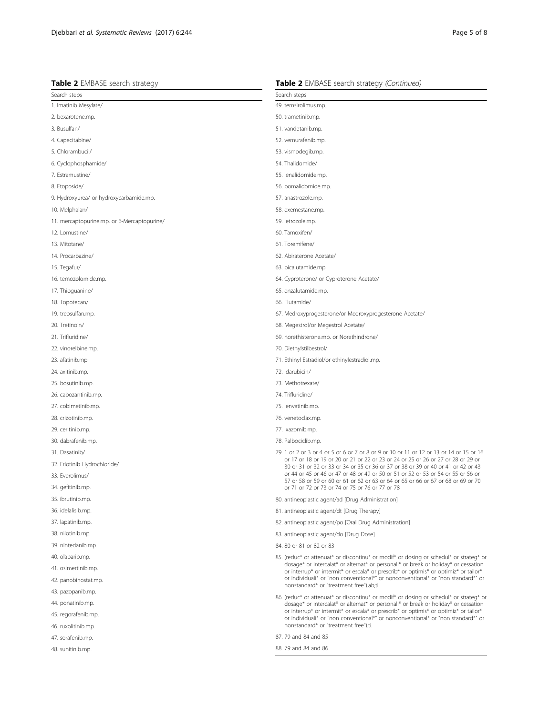## <span id="page-4-0"></span>Table 2 EMBASE search strategy

9. Hydroxyurea/ or hydroxycarbamide.mp.

11. mercaptopurine.mp. or 6-Mercaptopurine/

Search steps 1. Imatinib Mesylate/ 2. bexarotene.mp. 3. Busulfan/ 4. Capecitabine/ 5. Chlorambucil/ 6. Cyclophosphamide/ 7. Estramustine/ 8. Etoposide/

10. Melphalan/

12. Lomustine/ 13. Mitotane/ 14. Procarbazine/ 15. Tegafur/ 16. temozolomide.mp. 17. Thioguanine/ 18. Topotecan/ 19. treosulfan.mp. 20. Tretinoin/ 21. Trifluridine/ 22. vinorelbine.mp. 23. afatinib.mp. 24. axitinib.mp. 25. bosutinib.mp. 26. cabozantinib.mp. 27. cobimetinib.mp. 28. crizotinib.mp. 29. ceritinib.mp. 30. dabrafenib.mp. 31. Dasatinib/

| Table 2 EMBASE search strategy (Continued)                                                                                                                                                                                                                                                                                                                                                                                                                                                 |  |
|--------------------------------------------------------------------------------------------------------------------------------------------------------------------------------------------------------------------------------------------------------------------------------------------------------------------------------------------------------------------------------------------------------------------------------------------------------------------------------------------|--|
| Search steps                                                                                                                                                                                                                                                                                                                                                                                                                                                                               |  |
| 49. temsirolimus.mp.                                                                                                                                                                                                                                                                                                                                                                                                                                                                       |  |
| 50. trametinib.mp.                                                                                                                                                                                                                                                                                                                                                                                                                                                                         |  |
| 51. vandetanib.mp.                                                                                                                                                                                                                                                                                                                                                                                                                                                                         |  |
| 52. vemurafenib.mp.                                                                                                                                                                                                                                                                                                                                                                                                                                                                        |  |
| 53. vismodegib.mp.                                                                                                                                                                                                                                                                                                                                                                                                                                                                         |  |
| 54. Thalidomide/                                                                                                                                                                                                                                                                                                                                                                                                                                                                           |  |
| 55. lenalidomide.mp.                                                                                                                                                                                                                                                                                                                                                                                                                                                                       |  |
| 56. pomalidomide.mp.                                                                                                                                                                                                                                                                                                                                                                                                                                                                       |  |
| 57. anastrozole.mp.                                                                                                                                                                                                                                                                                                                                                                                                                                                                        |  |
| 58. exemestane.mp.                                                                                                                                                                                                                                                                                                                                                                                                                                                                         |  |
| 59. letrozole.mp.                                                                                                                                                                                                                                                                                                                                                                                                                                                                          |  |
| 60. Tamoxifen/                                                                                                                                                                                                                                                                                                                                                                                                                                                                             |  |
| 61. Toremifene/                                                                                                                                                                                                                                                                                                                                                                                                                                                                            |  |
| 62. Abiraterone Acetate/                                                                                                                                                                                                                                                                                                                                                                                                                                                                   |  |
| 63. bicalutamide.mp.                                                                                                                                                                                                                                                                                                                                                                                                                                                                       |  |
| 64. Cyproterone/ or Cyproterone Acetate/                                                                                                                                                                                                                                                                                                                                                                                                                                                   |  |
| 65. enzalutamide.mp.                                                                                                                                                                                                                                                                                                                                                                                                                                                                       |  |
| 66. Flutamide/                                                                                                                                                                                                                                                                                                                                                                                                                                                                             |  |
| 67. Medroxyprogesterone/or Medroxyprogesterone Acetate/                                                                                                                                                                                                                                                                                                                                                                                                                                    |  |
| 68. Megestrol/or Megestrol Acetate/                                                                                                                                                                                                                                                                                                                                                                                                                                                        |  |
| 69. norethisterone.mp. or Norethindrone/                                                                                                                                                                                                                                                                                                                                                                                                                                                   |  |
|                                                                                                                                                                                                                                                                                                                                                                                                                                                                                            |  |
| 70. Diethylstilbestrol/                                                                                                                                                                                                                                                                                                                                                                                                                                                                    |  |
| 71. Ethinyl Estradiol/or ethinylestradiol.mp.                                                                                                                                                                                                                                                                                                                                                                                                                                              |  |
| 72. Idarubicin/                                                                                                                                                                                                                                                                                                                                                                                                                                                                            |  |
| 73. Methotrexate/                                                                                                                                                                                                                                                                                                                                                                                                                                                                          |  |
| 74. Trifluridine/                                                                                                                                                                                                                                                                                                                                                                                                                                                                          |  |
| 75. lenvatinib.mp.                                                                                                                                                                                                                                                                                                                                                                                                                                                                         |  |
| 76. venetoclax.mp.                                                                                                                                                                                                                                                                                                                                                                                                                                                                         |  |
| 77. ixazomib.mp.                                                                                                                                                                                                                                                                                                                                                                                                                                                                           |  |
| 78. Palbociclib.mp.                                                                                                                                                                                                                                                                                                                                                                                                                                                                        |  |
| 79. 1 or 2 or 3 or 4 or 5 or 6 or 7 or 8 or 9 or 10 or 11 or 12 or 13 or 14 or 15 or 16<br>or 17 or 18 or 19 or 20 or 21 or 22 or 23 or 24 or 25 or 26 or 27 or 28 or 29 or<br>30 or 31 or 32 or 33 or 34 or 35 or 36 or 37 or 38 or 39 or 40 or 41 or 42 or 43<br>or 44 or 45 or 46 or 47 or 48 or 49 or 50 or 51 or 52 or 53 or 54 or 55 or 56 or<br>57 or 58 or 59 or 60 or 61 or 62 or 63 or 64 or 65 or 66 or 67 or 68 or 69 or 70<br>or 71 or 72 or 73 or 74 or 75 or 76 or 77 or 78 |  |
| 80. antineoplastic agent/ad [Drug Administration]                                                                                                                                                                                                                                                                                                                                                                                                                                          |  |
| 81. antineoplastic agent/dt [Drug Therapy]                                                                                                                                                                                                                                                                                                                                                                                                                                                 |  |
| 82. antineoplastic agent/po [Oral Drug Administration]                                                                                                                                                                                                                                                                                                                                                                                                                                     |  |
| 83. antineoplastic agent/do [Drug Dose]                                                                                                                                                                                                                                                                                                                                                                                                                                                    |  |
| 84, 80 or 81 or 82 or 83                                                                                                                                                                                                                                                                                                                                                                                                                                                                   |  |
| 85. (reduc* or attenuat* or discontinu* or modif* or dosing or schedul* or strateg* or<br>dosage* or intercalat* or alternat* or personali* or break or holiday* or cessation<br>or interrup* or intermit* or escala* or prescrib* or optimis* or optimiz* or tailor*<br>or individuali* or "non conventional*" or nonconventional* or "non standard*" or<br>nonstandard* or "treatment free").ab,ti.                                                                                      |  |
| 86. (reduc* or attenuat* or discontinu* or modif* or dosing or schedul* or strateg* or<br>dosage* or intercalat* or alternat* or personali* or break or holiday* or cessation<br>or interrup* or intermit* or escala* or prescrib* or optimis* or optimiz* or tailor*<br>or individuali* or "non conventional*" or nonconventional* or "non standard*" or<br>nonstandard* or "treatment free").ti.                                                                                         |  |
| 87.79 and 84 and 85                                                                                                                                                                                                                                                                                                                                                                                                                                                                        |  |
|                                                                                                                                                                                                                                                                                                                                                                                                                                                                                            |  |

47. sorafenib.mp. 48. sunitinib.mp.

32. Erlotinib Hydrochloride/

33. Everolimus/ 34. gefitinib.mp. 35. ibrutinib.mp. 36. idelalisib.mp. 37. lapatinib.mp. 38. nilotinib.mp. 39. nintedanib.mp. 40. olaparib.mp. 41. osimertinib.mp. 42. panobinostat.mp. 43. pazopanib.mp. 44. ponatinib.mp. 45. regorafenib.mp. 46. ruxolitinib.mp.

88. 79 and 84 and 86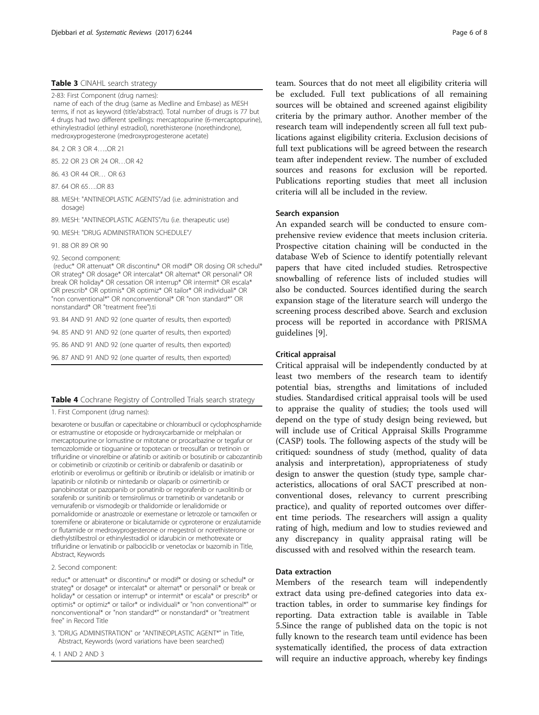#### <span id="page-5-0"></span>Table 3 CINAHL search strategy

2-83: First Component (drug names):

name of each of the drug (same as Medline and Embase) as MESH terms, if not as keyword (title/abstract). Total number of drugs is 77 but 4 drugs had two different spellings: mercaptopurine (6-mercaptopurine), ethinylestradiol (ethinyl estradiol), norethisterone (norethindrone), medroxyprogesterone (medroxyprogesterone acetate)

84. 2 OR 3 OR 4…..OR 21

85. 22 OR 23 OR 24 OR…OR 42

86. 43 OR 44 OR… OR 63

- 87. 64 OR 65….OR 83
- 88. MESH: "ANTINEOPLASTIC AGENTS"/ad (i.e. administration and dosage)
- 89. MESH: "ANTINEOPLASTIC AGENTS"/tu (i.e. therapeutic use)
- 90. MESH: "DRUG ADMINISTRATION SCHEDULE"/
- 91. 88 OR 89 OR 90

92. Second component:

(reduc\* OR attenuat\* OR discontinu\* OR modif\* OR dosing OR schedul\* OR strateg\* OR dosage\* OR intercalat\* OR alternat\* OR personali\* OR break OR holiday\* OR cessation OR interrup\* OR intermit\* OR escala\* OR prescrib\* OR optimis\* OR optimiz\* OR tailor\* OR individuali\* OR "non conventional\*" OR nonconventional\* OR "non standard\*" OR nonstandard\* OR "treatment free").ti

93. 84 AND 91 AND 92 (one quarter of results, then exported)

94. 85 AND 91 AND 92 (one quarter of results, then exported)

95. 86 AND 91 AND 92 (one quarter of results, then exported)

96. 87 AND 91 AND 92 (one quarter of results, then exported)

#### Table 4 Cochrane Registry of Controlled Trials search strategy

1. First Component (drug names):

bexarotene or busulfan or capecitabine or chlorambucil or cyclophosphamide or estramustine or etoposide or hydroxycarbamide or melphalan or mercaptopurine or lomustine or mitotane or procarbazine or tegafur or temozolomide or tioguanine or topotecan or treosulfan or tretinoin or trifluridine or vinorelbine or afatinib or axitinib or bosutinib or cabozantinib or cobimetinib or crizotinib or ceritinib or dabrafenib or dasatinib or erlotinib or everolimus or gefitinib or ibrutinib or idelalisib or imatinib or lapatinib or nilotinib or nintedanib or olaparib or osimertinib or panobinostat or pazopanib or ponatinib or regorafenib or ruxolitinib or sorafenib or sunitinib or temsirolimus or trametinib or vandetanib or vemurafenib or vismodegib or thalidomide or lenalidomide or pomalidomide or anastrozole or exemestane or letrozole or tamoxifen or toremifene or abiraterone or bicalutamide or cyproterone or enzalutamide or flutamide or medroxyprogesterone or megestrol or norethisterone or diethylstilbestrol or ethinylestradiol or idarubicin or methotrexate or trifluridine or lenvatinib or palbociclib or venetoclax or Ixazomib in Title, Abstract, Keywords

#### 2. Second component:

reduc\* or attenuat\* or discontinu\* or modif\* or dosing or schedul\* or strateg\* or dosage\* or intercalat\* or alternat\* or personali\* or break or holiday\* or cessation or interrup\* or intermit\* or escala\* or prescrib\* or optimis\* or optimiz\* or tailor\* or individuali\* or "non conventional\*" or nonconventional\* or "non standard\*" or nonstandard\* or "treatment free" in Record Title

- 3. "DRUG ADMINISTRATION" or "ANTINEOPLASTIC AGENT\*" in Title, Abstract, Keywords (word variations have been searched)
- 4. 1 AND 2 AND 3

team. Sources that do not meet all eligibility criteria will be excluded. Full text publications of all remaining sources will be obtained and screened against eligibility criteria by the primary author. Another member of the research team will independently screen all full text publications against eligibility criteria. Exclusion decisions of full text publications will be agreed between the research team after independent review. The number of excluded sources and reasons for exclusion will be reported. Publications reporting studies that meet all inclusion criteria will all be included in the review.

#### Search expansion

An expanded search will be conducted to ensure comprehensive review evidence that meets inclusion criteria. Prospective citation chaining will be conducted in the database Web of Science to identify potentially relevant papers that have cited included studies. Retrospective snowballing of reference lists of included studies will also be conducted. Sources identified during the search expansion stage of the literature search will undergo the screening process described above. Search and exclusion process will be reported in accordance with PRISMA guidelines [[9\]](#page-7-0).

#### Critical appraisal

Critical appraisal will be independently conducted by at least two members of the research team to identify potential bias, strengths and limitations of included studies. Standardised critical appraisal tools will be used to appraise the quality of studies; the tools used will depend on the type of study design being reviewed, but will include use of Critical Appraisal Skills Programme (CASP) tools. The following aspects of the study will be critiqued: soundness of study (method, quality of data analysis and interpretation), appropriateness of study design to answer the question (study type, sample characteristics, allocations of oral SACT prescribed at nonconventional doses, relevancy to current prescribing practice), and quality of reported outcomes over different time periods. The researchers will assign a quality rating of high, medium and low to studies reviewed and any discrepancy in quality appraisal rating will be discussed with and resolved within the research team.

## Data extraction

Members of the research team will independently extract data using pre-defined categories into data extraction tables, in order to summarise key findings for reporting. Data extraction table is available in Table [5.](#page-6-0)Since the range of published data on the topic is not fully known to the research team until evidence has been systematically identified, the process of data extraction will require an inductive approach, whereby key findings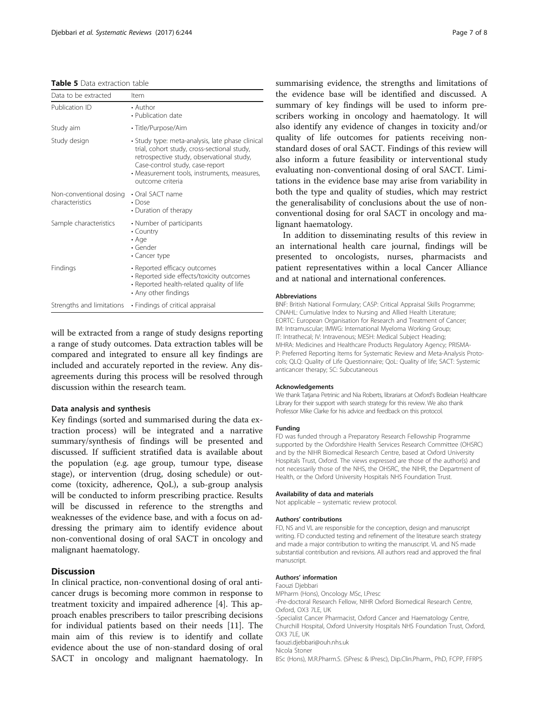## <span id="page-6-0"></span>Table 5 Data extraction table

| Data to be extracted                       | Item                                                                                                                                                                                                                                               |
|--------------------------------------------|----------------------------------------------------------------------------------------------------------------------------------------------------------------------------------------------------------------------------------------------------|
| Publication ID                             | • Author<br>• Publication date                                                                                                                                                                                                                     |
| Study aim                                  | · Title/Purpose/Aim                                                                                                                                                                                                                                |
| Study design                               | • Study type: meta-analysis, late phase clinical<br>trial, cohort study, cross-sectional study,<br>retrospective study, observational study,<br>Case-control study, case-report<br>• Measurement tools, instruments, measures,<br>outcome criteria |
| Non-conventional dosing<br>characteristics | • Oral SACT name<br>$\cdot$ Dose<br>• Duration of therapy                                                                                                                                                                                          |
| Sample characteristics                     | • Number of participants<br>• Country<br>$\cdot$ Age<br>• Gender<br>• Cancer type                                                                                                                                                                  |
| Findings                                   | • Reported efficacy outcomes<br>• Reported side effects/toxicity outcomes<br>• Reported health-related quality of life<br>• Any other findings                                                                                                     |
| Strengths and limitations                  | • Findings of critical appraisal                                                                                                                                                                                                                   |

will be extracted from a range of study designs reporting a range of study outcomes. Data extraction tables will be compared and integrated to ensure all key findings are included and accurately reported in the review. Any disagreements during this process will be resolved through discussion within the research team.

## Data analysis and synthesis

Key findings (sorted and summarised during the data extraction process) will be integrated and a narrative summary/synthesis of findings will be presented and discussed. If sufficient stratified data is available about the population (e.g. age group, tumour type, disease stage), or intervention (drug, dosing schedule) or outcome (toxicity, adherence, QoL), a sub-group analysis will be conducted to inform prescribing practice. Results will be discussed in reference to the strengths and weaknesses of the evidence base, and with a focus on addressing the primary aim to identify evidence about non-conventional dosing of oral SACT in oncology and malignant haematology.

## **Discussion**

In clinical practice, non-conventional dosing of oral anticancer drugs is becoming more common in response to treatment toxicity and impaired adherence [[4](#page-7-0)]. This approach enables prescribers to tailor prescribing decisions for individual patients based on their needs [\[11](#page-7-0)]. The main aim of this review is to identify and collate evidence about the use of non-standard dosing of oral SACT in oncology and malignant haematology. In

summarising evidence, the strengths and limitations of the evidence base will be identified and discussed. A summary of key findings will be used to inform prescribers working in oncology and haematology. It will also identify any evidence of changes in toxicity and/or quality of life outcomes for patients receiving nonstandard doses of oral SACT. Findings of this review will also inform a future feasibility or interventional study evaluating non-conventional dosing of oral SACT. Limitations in the evidence base may arise from variability in both the type and quality of studies, which may restrict the generalisability of conclusions about the use of nonconventional dosing for oral SACT in oncology and malignant haematology.

In addition to disseminating results of this review in an international health care journal, findings will be presented to oncologists, nurses, pharmacists and patient representatives within a local Cancer Alliance and at national and international conferences.

#### Abbreviations

BNF: British National Formulary; CASP: Critical Appraisal Skills Programme; CINAHL: Cumulative Index to Nursing and Allied Health Literature; EORTC: European Organisation for Research and Treatment of Cancer; IM: Intramuscular; IMWG: International Myeloma Working Group; IT: Intrathecal; IV: Intravenous; MESH: Medical Subject Heading; MHRA: Medicines and Healthcare Products Regulatory Agency; PRISMA-P: Preferred Reporting Items for Systematic Review and Meta-Analysis Protocols; QLQ: Quality of Life Questionnaire; QoL: Quality of life; SACT: Systemic anticancer therapy; SC: Subcutaneous

#### Acknowledgements

We thank Tatjana Petrinic and Nia Roberts, librarians at Oxford's Bodleian Healthcare Library for their support with search strategy for this review. We also thank Professor Mike Clarke for his advice and feedback on this protocol.

#### Funding

FD was funded through a Preparatory Research Fellowship Programme supported by the Oxfordshire Health Services Research Committee (OHSRC) and by the NIHR Biomedical Research Centre, based at Oxford University Hospitals Trust, Oxford. The views expressed are those of the author(s) and not necessarily those of the NHS, the OHSRC, the NIHR, the Department of Health, or the Oxford University Hospitals NHS Foundation Trust.

#### Availability of data and materials

Not applicable – systematic review protocol.

#### Authors' contributions

FD, NS and VL are responsible for the conception, design and manuscript writing. FD conducted testing and refinement of the literature search strategy and made a major contribution to writing the manuscript. VL and NS made substantial contribution and revisions. All authors read and approved the final manuscript.

#### Authors' information

Faouzi Djebbari MPharm (Hons), Oncology MSc, I.Presc -Pre-doctoral Research Fellow, NIHR Oxford Biomedical Research Centre, Oxford, OX3 7LE, UK -Specialist Cancer Pharmacist, Oxford Cancer and Haematology Centre, Churchill Hospital, Oxford University Hospitals NHS Foundation Trust, Oxford, **OX3 7LE, UK** faouzi.djebbari@ouh.nhs.uk Nicola Stoner

BSc (Hons), M.R.Pharm.S. (SPresc & IPresc), Dip.Clin.Pharm., PhD, FCPP, FFRPS